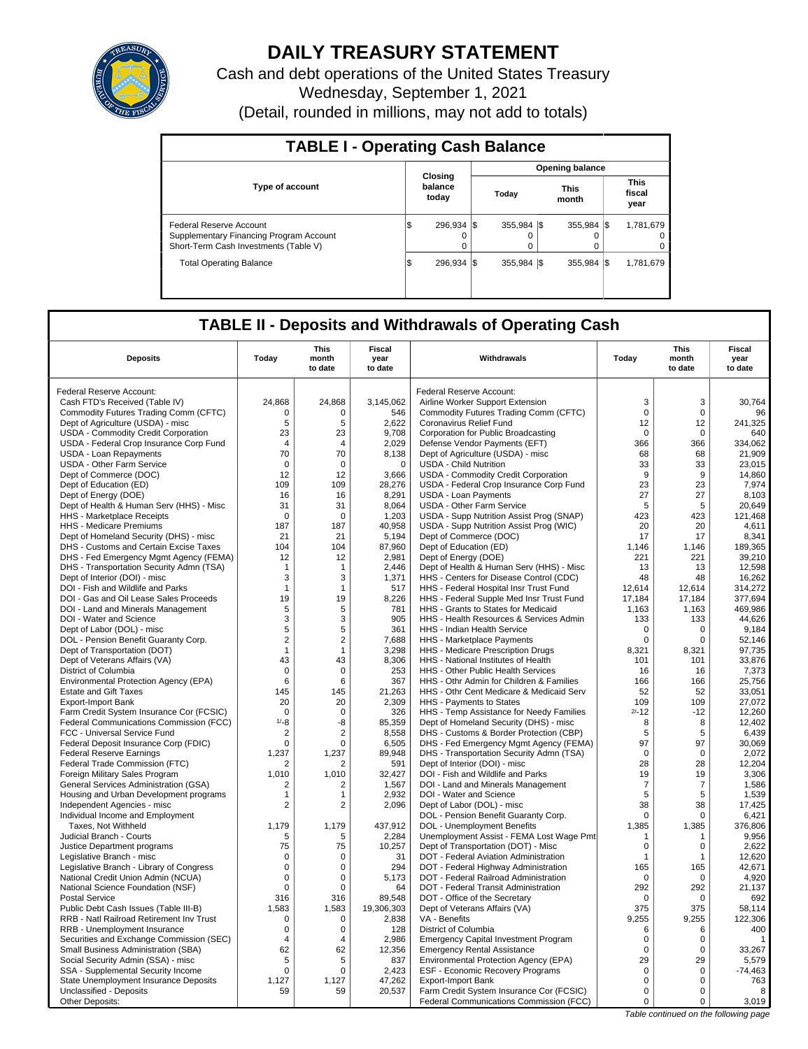

# **DAILY TREASURY STATEMENT**

Cash and debt operations of the United States Treasury Wednesday, September 1, 2021 (Detail, rounded in millions, may not add to totals)

| <b>TABLE I - Operating Cash Balance</b>                                                                     |   |                             |                        |                  |  |                       |  |                                     |  |  |
|-------------------------------------------------------------------------------------------------------------|---|-----------------------------|------------------------|------------------|--|-----------------------|--|-------------------------------------|--|--|
|                                                                                                             |   |                             | <b>Opening balance</b> |                  |  |                       |  |                                     |  |  |
| <b>Type of account</b>                                                                                      |   | Closing<br>balance<br>today |                        | Today            |  | <b>This</b><br>month  |  | <b>This</b><br>fiscal<br>year       |  |  |
| Federal Reserve Account<br>Supplementary Financing Program Account<br>Short-Term Cash Investments (Table V) | Φ | 296.934 \\$<br>$\Omega$     |                        | 355.984 \\$<br>0 |  | $355.984$ $\sqrt{\$}$ |  | 1,781,679<br>$^{\circ}$<br>$\Omega$ |  |  |
| <b>Total Operating Balance</b>                                                                              | Φ | 296.934 \\$                 |                        | 355.984 \\$      |  | 355.984 \$            |  | 1,781,679                           |  |  |

## **TABLE II - Deposits and Withdrawals of Operating Cash**

| <b>Deposits</b>                                                                 | Today                         | This<br>month<br>to date | Fiscal<br>year<br>to date | Withdrawals                                                                         | Today              | <b>This</b><br>month<br>to date | <b>Fiscal</b><br>year<br>to date |
|---------------------------------------------------------------------------------|-------------------------------|--------------------------|---------------------------|-------------------------------------------------------------------------------------|--------------------|---------------------------------|----------------------------------|
| Federal Reserve Account:                                                        |                               |                          |                           | Federal Reserve Account:                                                            |                    |                                 |                                  |
| Cash FTD's Received (Table IV)                                                  | 24,868                        | 24,868                   | 3,145,062                 | Airline Worker Support Extension                                                    | 3                  | 3                               | 30,764                           |
| Commodity Futures Trading Comm (CFTC)                                           | $\Omega$                      | $\Omega$                 | 546                       | Commodity Futures Trading Comm (CFTC)                                               | $\Omega$           | $\Omega$                        | 96                               |
| Dept of Agriculture (USDA) - misc                                               | 5                             | 5                        | 2,622                     | Coronavirus Relief Fund                                                             | 12                 | 12                              | 241,325                          |
| USDA - Commodity Credit Corporation                                             | 23                            | 23                       | 9,708                     | Corporation for Public Broadcasting                                                 | $\mathbf 0$        | $\Omega$                        | 640                              |
| USDA - Federal Crop Insurance Corp Fund                                         | $\overline{4}$                | 4                        | 2,029                     | Defense Vendor Payments (EFT)                                                       | 366                | 366                             | 334,062                          |
| USDA - Loan Repayments                                                          | 70                            | 70                       | 8,138                     | Dept of Agriculture (USDA) - misc                                                   | 68                 | 68                              | 21,909                           |
| USDA - Other Farm Service                                                       | $\mathbf 0$                   | $\mathbf 0$              | $\mathbf 0$               | <b>USDA - Child Nutrition</b>                                                       | 33                 | 33                              | 23,015                           |
| Dept of Commerce (DOC)                                                          | 12                            | 12                       | 3,666                     | <b>USDA - Commodity Credit Corporation</b>                                          | 9                  | 9                               | 14.860                           |
| Dept of Education (ED)                                                          | 109                           | 109                      | 28,276                    | USDA - Federal Crop Insurance Corp Fund                                             | 23                 | 23                              | 7,974                            |
| Dept of Energy (DOE)                                                            | 16                            | 16                       | 8,291                     | <b>USDA - Loan Payments</b>                                                         | 27                 | 27                              | 8.103                            |
| Dept of Health & Human Serv (HHS) - Misc                                        | 31                            | 31                       | 8,064                     | USDA - Other Farm Service                                                           | 5                  | 5                               | 20,649                           |
| <b>HHS</b> - Marketplace Receipts                                               | $\Omega$                      | $\Omega$                 | 1,203                     |                                                                                     | 423                | 423                             | 121.468                          |
| HHS - Medicare Premiums                                                         | 187                           | 187                      | 40,958                    | USDA - Supp Nutrition Assist Prog (SNAP)<br>USDA - Supp Nutrition Assist Prog (WIC) | 20                 | 20                              | 4,611                            |
| Dept of Homeland Security (DHS) - misc                                          | 21                            | 21                       | 5,194                     | Dept of Commerce (DOC)                                                              | 17                 | 17                              | 8,341                            |
| DHS - Customs and Certain Excise Taxes                                          | 104                           | 104                      | 87,960                    | Dept of Education (ED)                                                              | 1,146              | 1,146                           | 189,365                          |
| DHS - Fed Emergency Mgmt Agency (FEMA)                                          | 12                            | 12                       | 2,981                     | Dept of Energy (DOE)                                                                | 221                | 221                             | 39,210                           |
| DHS - Transportation Security Admn (TSA)                                        | $\mathbf{1}$                  | 1                        | 2,446                     | Dept of Health & Human Serv (HHS) - Misc                                            | 13                 | 13                              | 12,598                           |
| Dept of Interior (DOI) - misc                                                   | 3                             | 3                        | 1,371                     | HHS - Centers for Disease Control (CDC)                                             | 48                 | 48                              | 16,262                           |
| DOI - Fish and Wildlife and Parks                                               | $\mathbf{1}$                  | 1                        | 517                       | HHS - Federal Hospital Insr Trust Fund                                              | 12,614             | 12,614                          | 314,272                          |
| DOI - Gas and Oil Lease Sales Proceeds                                          | 19                            | 19                       | 8,226                     | HHS - Federal Supple Med Insr Trust Fund                                            | 17,184             | 17,184                          | 377,694                          |
|                                                                                 |                               | 5                        | 781                       | HHS - Grants to States for Medicaid                                                 |                    | 1,163                           | 469,986                          |
| DOI - Land and Minerals Management                                              | 5<br>3                        |                          | 905                       |                                                                                     | 1,163              |                                 |                                  |
| DOI - Water and Science                                                         | 5                             | 3                        | 361                       | HHS - Health Resources & Services Admin                                             | 133<br>$\mathbf 0$ | 133<br>$\mathbf 0$              | 44,626<br>9,184                  |
| Dept of Labor (DOL) - misc<br>DOL - Pension Benefit Guaranty Corp.              | $\overline{2}$                | 5<br>$\overline{2}$      | 7.688                     | HHS - Indian Health Service                                                         | $\mathbf 0$        | $\mathbf 0$                     | 52,146                           |
|                                                                                 |                               |                          | 3,298                     | HHS - Marketplace Payments                                                          | 8,321              | 8,321                           | 97,735                           |
| Dept of Transportation (DOT)                                                    | $\mathbf{1}$<br>43            | 1<br>43                  | 8,306                     | HHS - Medicare Prescription Drugs                                                   |                    |                                 | 33,876                           |
| Dept of Veterans Affairs (VA)                                                   |                               |                          |                           | HHS - National Institutes of Health                                                 | 101                | 101                             |                                  |
| District of Columbia                                                            | 0                             | $\mathbf 0$              | 253<br>367                | HHS - Other Public Health Services                                                  | 16                 | 16                              | 7,373                            |
| Environmental Protection Agency (EPA)                                           | 6                             | 6                        |                           | HHS - Othr Admin for Children & Families                                            | 166                | 166                             | 25,756                           |
| <b>Estate and Gift Taxes</b>                                                    | 145<br>20                     | 145<br>20                | 21,263<br>2,309           | HHS - Othr Cent Medicare & Medicaid Serv<br>HHS - Payments to States                | 52<br>109          | 52<br>109                       | 33,051<br>27,072                 |
| <b>Export-Import Bank</b>                                                       | $\mathbf 0$                   | $\mathbf 0$              |                           |                                                                                     | $2/-12$            |                                 |                                  |
| Farm Credit System Insurance Cor (FCSIC)                                        | $1/-8$                        |                          | 326                       | HHS - Temp Assistance for Needy Families<br>Dept of Homeland Security (DHS) - misc  | 8                  | $-12$<br>8                      | 12,260<br>12,402                 |
| <b>Federal Communications Commission (FCC)</b>                                  |                               | -8<br>$\overline{2}$     | 85,359                    |                                                                                     |                    | 5                               |                                  |
| FCC - Universal Service Fund<br>Federal Deposit Insurance Corp (FDIC)           | $\overline{2}$<br>$\mathbf 0$ | 0                        | 8,558<br>6,505            | DHS - Customs & Border Protection (CBP)<br>DHS - Fed Emergency Mgmt Agency (FEMA)   | 5<br>97            | 97                              | 6,439<br>30,069                  |
|                                                                                 | 1,237                         | 1,237                    |                           |                                                                                     | $\mathbf 0$        | $\mathbf 0$                     | 2,072                            |
| <b>Federal Reserve Earnings</b>                                                 |                               | 2                        | 89,948<br>591             | DHS - Transportation Security Admn (TSA)<br>Dept of Interior (DOI) - misc           | 28                 | 28                              | 12.204                           |
| Federal Trade Commission (FTC)                                                  | 2<br>1,010                    | 1,010                    | 32,427                    | DOI - Fish and Wildlife and Parks                                                   | 19                 | 19                              | 3,306                            |
| Foreign Military Sales Program                                                  |                               |                          |                           | DOI - Land and Minerals Management                                                  | $\overline{7}$     | 7                               | 1,586                            |
| General Services Administration (GSA)<br>Housing and Urban Development programs | 2<br>$\mathbf{1}$             | 2<br>1                   | 1,567<br>2,932            | DOI - Water and Science                                                             | 5                  | 5                               | 1,539                            |
| Independent Agencies - misc                                                     | $\overline{2}$                | 2                        | 2,096                     | Dept of Labor (DOL) - misc                                                          | 38                 | 38                              | 17,425                           |
| Individual Income and Employment                                                |                               |                          |                           | DOL - Pension Benefit Guaranty Corp.                                                | 0                  | 0                               | 6,421                            |
| Taxes, Not Withheld                                                             | 1,179                         | 1.179                    | 437,912                   | <b>DOL</b> - Unemployment Benefits                                                  | 1,385              | 1,385                           | 376,806                          |
| Judicial Branch - Courts                                                        | 5                             | 5                        | 2,284                     | Unemployment Assist - FEMA Lost Wage Pmt                                            | $\mathbf{1}$       | $\mathbf{1}$                    | 9,956                            |
| Justice Department programs                                                     | 75                            | 75                       | 10,257                    | Dept of Transportation (DOT) - Misc                                                 | $\mathbf 0$        | $\Omega$                        | 2,622                            |
| Legislative Branch - misc                                                       | $\mathbf 0$                   | 0                        | 31                        | DOT - Federal Aviation Administration                                               | $\mathbf{1}$       | $\mathbf{1}$                    | 12,620                           |
| Legislative Branch - Library of Congress                                        | $\mathbf 0$                   | 0                        | 294                       | DOT - Federal Highway Administration                                                | 165                | 165                             | 42,671                           |
| National Credit Union Admin (NCUA)                                              | $\mathbf 0$                   | $\Omega$                 | 5,173                     | DOT - Federal Railroad Administration                                               | $\Omega$           | $\Omega$                        | 4,920                            |
| National Science Foundation (NSF)                                               | 0                             | $\Omega$                 | 64                        | DOT - Federal Transit Administration                                                | 292                | 292                             | 21.137                           |
| <b>Postal Service</b>                                                           | 316                           | 316                      | 89,548                    | DOT - Office of the Secretary                                                       | 0                  | $\mathbf 0$                     | 692                              |
| Public Debt Cash Issues (Table III-B)                                           | 1.583                         | 1.583                    | 19,306,303                | Dept of Veterans Affairs (VA)                                                       | 375                | 375                             | 58.114                           |
| RRB - Natl Railroad Retirement Inv Trust                                        | 0                             | $\mathbf 0$              | 2,838                     | VA - Benefits                                                                       | 9,255              | 9,255                           | 122,306                          |
| RRB - Unemployment Insurance                                                    | 0                             | 0                        | 128                       | District of Columbia                                                                | 6                  | 6                               | 400                              |
| Securities and Exchange Commission (SEC)                                        | 4                             | 4                        | 2,986                     | <b>Emergency Capital Investment Program</b>                                         | $\mathbf 0$        | 0                               | $\mathbf{1}$                     |
| Small Business Administration (SBA)                                             | 62                            | 62                       | 12,356                    | <b>Emergency Rental Assistance</b>                                                  | $\Omega$           | $\Omega$                        | 33,267                           |
| Social Security Admin (SSA) - misc                                              | 5                             | 5                        | 837                       | Environmental Protection Agency (EPA)                                               | 29                 | 29                              | 5,579                            |
| SSA - Supplemental Security Income                                              | $\mathbf 0$                   | $\Omega$                 | 2,423                     | <b>ESF - Economic Recovery Programs</b>                                             | $\mathbf 0$        | $\mathbf 0$                     | $-74,463$                        |
| State Unemployment Insurance Deposits                                           | 1,127                         | 1,127                    | 47,262                    | <b>Export-Import Bank</b>                                                           | $\mathbf 0$        | 0                               | 763                              |
| Unclassified - Deposits                                                         | 59                            | 59                       | 20,537                    | Farm Credit System Insurance Cor (FCSIC)                                            | $\mathbf 0$        | $\Omega$                        | 8                                |
| Other Deposits:                                                                 |                               |                          |                           | Federal Communications Commission (FCC)                                             | $\mathbf 0$        | 0                               | 3,019                            |
|                                                                                 |                               |                          |                           |                                                                                     |                    |                                 |                                  |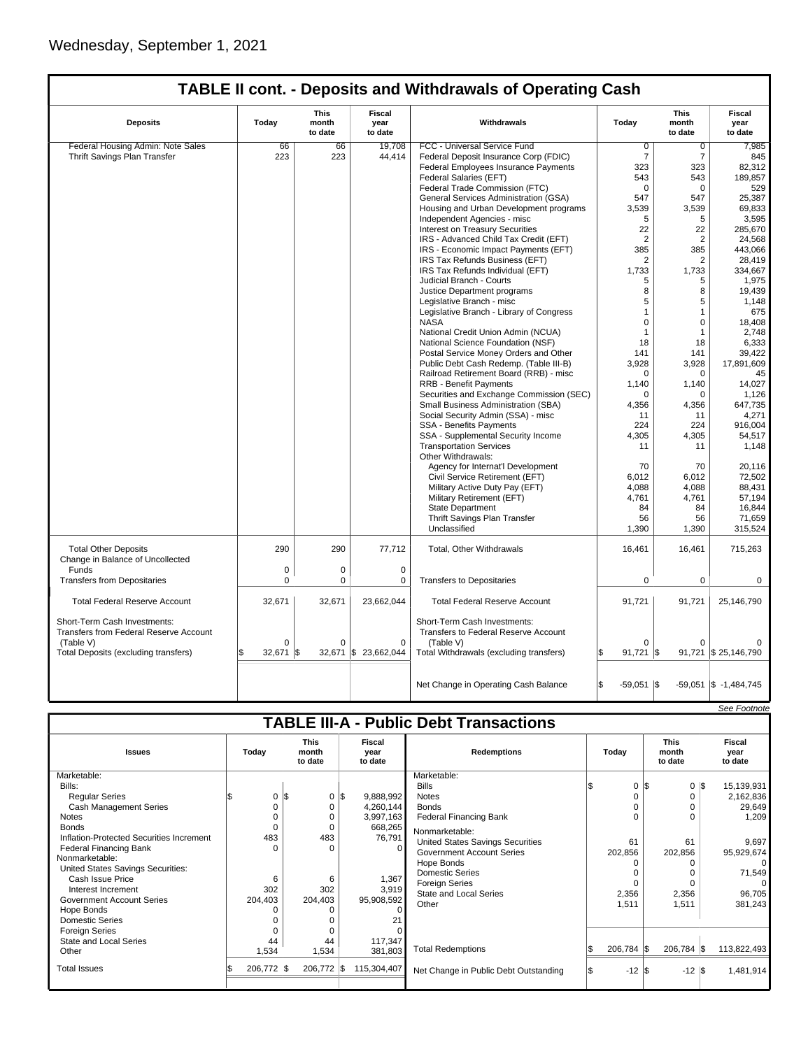|                                                                        |             | <b>This</b>      | <b>Fiscal</b>        |                                                                      |                    | <b>This</b>      | <b>Fiscal</b>             |
|------------------------------------------------------------------------|-------------|------------------|----------------------|----------------------------------------------------------------------|--------------------|------------------|---------------------------|
| <b>Deposits</b>                                                        | Today       | month<br>to date | year<br>to date      | Withdrawals                                                          | Today              | month<br>to date | year<br>to date           |
| Federal Housing Admin: Note Sales                                      | 66          | 66               | 19.708               | FCC - Universal Service Fund                                         | 0                  | 0                | 7,985                     |
| Thrift Savings Plan Transfer                                           | 223         | 223              | 44,414               | Federal Deposit Insurance Corp (FDIC)                                | $\overline{7}$     | $\overline{7}$   | 845                       |
|                                                                        |             |                  |                      | Federal Employees Insurance Payments                                 | 323                | 323              | 82,312                    |
|                                                                        |             |                  |                      | Federal Salaries (EFT)                                               | 543                | 543              | 189.857                   |
|                                                                        |             |                  |                      | Federal Trade Commission (FTC)                                       | $\Omega$           | $\mathbf 0$      | 529                       |
|                                                                        |             |                  |                      | General Services Administration (GSA)                                | 547                | 547              | 25,387                    |
|                                                                        |             |                  |                      |                                                                      | 3,539              |                  | 69,833                    |
|                                                                        |             |                  |                      | Housing and Urban Development programs                               |                    | 3,539            |                           |
|                                                                        |             |                  |                      | Independent Agencies - misc                                          | 5                  | 5                | 3,595                     |
|                                                                        |             |                  |                      | Interest on Treasury Securities                                      | 22                 | 22               | 285,670                   |
|                                                                        |             |                  |                      | IRS - Advanced Child Tax Credit (EFT)                                | $\overline{2}$     | $\overline{2}$   | 24,568                    |
|                                                                        |             |                  |                      | IRS - Economic Impact Payments (EFT)                                 | 385                | 385              | 443.066                   |
|                                                                        |             |                  |                      | IRS Tax Refunds Business (EFT)                                       | 2                  | 2                | 28,419                    |
|                                                                        |             |                  |                      | IRS Tax Refunds Individual (EFT)                                     | 1,733              | 1,733            | 334,667                   |
|                                                                        |             |                  |                      | Judicial Branch - Courts                                             | 5                  | 5                | 1,975                     |
|                                                                        |             |                  |                      | Justice Department programs                                          | 8                  | 8                | 19,439                    |
|                                                                        |             |                  |                      | Legislative Branch - misc                                            | 5                  | 5                | 1,148                     |
|                                                                        |             |                  |                      | Legislative Branch - Library of Congress                             | $\overline{1}$     | $\mathbf{1}$     | 675                       |
|                                                                        |             |                  |                      | <b>NASA</b>                                                          | $\Omega$           | $\mathbf 0$      | 18,408                    |
|                                                                        |             |                  |                      | National Credit Union Admin (NCUA)                                   | $\overline{1}$     | $\mathbf{1}$     | 2,748                     |
|                                                                        |             |                  |                      | National Science Foundation (NSF)                                    | 18                 | 18               | 6,333                     |
|                                                                        |             |                  |                      | Postal Service Money Orders and Other                                | 141                | 141              | 39,422                    |
|                                                                        |             |                  |                      | Public Debt Cash Redemp. (Table III-B)                               | 3,928              | 3,928            | 17,891,609                |
|                                                                        |             |                  |                      | Railroad Retirement Board (RRB) - misc                               | $\Omega$           | $\mathbf 0$      | 45                        |
|                                                                        |             |                  |                      | <b>RRB - Benefit Payments</b>                                        | 1,140              | 1,140            | 14,027                    |
|                                                                        |             |                  |                      | Securities and Exchange Commission (SEC)                             | $\Omega$           | $\Omega$         | 1,126                     |
|                                                                        |             |                  |                      | Small Business Administration (SBA)                                  |                    |                  | 647,735                   |
|                                                                        |             |                  |                      |                                                                      | 4,356              | 4,356            |                           |
|                                                                        |             |                  |                      | Social Security Admin (SSA) - misc                                   | 11                 | 11               | 4,271                     |
|                                                                        |             |                  |                      | SSA - Benefits Payments                                              | 224                | 224              | 916,004                   |
|                                                                        |             |                  |                      | SSA - Supplemental Security Income                                   | 4,305              | 4.305            | 54.517                    |
|                                                                        |             |                  |                      | <b>Transportation Services</b>                                       | 11                 | 11               | 1,148                     |
|                                                                        |             |                  |                      | Other Withdrawals:                                                   |                    |                  |                           |
|                                                                        |             |                  |                      | Agency for Internat'l Development                                    | 70                 | 70               | 20,116                    |
|                                                                        |             |                  |                      | Civil Service Retirement (EFT)                                       | 6,012              | 6,012            | 72.502                    |
|                                                                        |             |                  |                      | Military Active Duty Pay (EFT)                                       | 4.088              | 4.088            | 88.431                    |
|                                                                        |             |                  |                      | Military Retirement (EFT)                                            | 4,761              | 4,761            | 57,194                    |
|                                                                        |             |                  |                      | <b>State Department</b>                                              | 84                 | 84               | 16.844                    |
|                                                                        |             |                  |                      | Thrift Savings Plan Transfer                                         | 56                 | 56               | 71,659                    |
|                                                                        |             |                  |                      | Unclassified                                                         | 1,390              | 1,390            | 315,524                   |
| <b>Total Other Deposits</b><br>Change in Balance of Uncollected        | 290         | 290              | 77,712               | Total, Other Withdrawals                                             | 16,461             | 16,461           | 715,263                   |
| Funds                                                                  | $\mathbf 0$ | 0                | $\mathbf 0$          |                                                                      |                    |                  |                           |
| <b>Transfers from Depositaries</b>                                     | $\Omega$    | $\Omega$         | $\mathbf 0$          | <b>Transfers to Depositaries</b>                                     | $\Omega$           | $\mathbf 0$      | $\mathbf 0$               |
| <b>Total Federal Reserve Account</b>                                   | 32,671      | 32,671           | 23,662,044           | <b>Total Federal Reserve Account</b>                                 | 91,721             | 91,721           | 25,146,790                |
| Short-Term Cash Investments:<br>Transfers from Federal Reserve Account | O           |                  |                      | Short-Term Cash Investments:<br>Transfers to Federal Reserve Account |                    |                  |                           |
| (Table V)                                                              |             | $\Omega$         | $\mathbf 0$          | (Table V)                                                            | $\Omega$           | $\Omega$         |                           |
| Total Deposits (excluding transfers)                                   | 32,671      | l\$              | 32,671 \$ 23,662,044 | Total Withdrawals (excluding transfers)                              | 91,721             | l\$              | 91,721 \$ 25,146,790      |
|                                                                        |             |                  |                      | Net Change in Operating Cash Balance                                 | \$<br>$-59,051$ \$ |                  | $-59,051$ \$ $-1,484,745$ |
|                                                                        |             |                  |                      |                                                                      |                    |                  |                           |
|                                                                        |             |                  |                      |                                                                      |                    |                  | See Footnote              |

## **TABLE III-A - Public Debt Transactions**

| <b>Issues</b>                                                                                                                                                                                                                                                                                                                                                                                                                  | Today                                          | <b>This</b><br>month<br>to date |                                                                      | <b>Fiscal</b><br>year<br>to date                                                                                           | <b>Redemptions</b>                                                                                                                                                                                                                                                                                                     |  | Today                                                 |  |                                                    |     |                                                                                                                                         |  | <b>This</b><br>month<br>to date |  | Fiscal<br>year<br>to date |
|--------------------------------------------------------------------------------------------------------------------------------------------------------------------------------------------------------------------------------------------------------------------------------------------------------------------------------------------------------------------------------------------------------------------------------|------------------------------------------------|---------------------------------|----------------------------------------------------------------------|----------------------------------------------------------------------------------------------------------------------------|------------------------------------------------------------------------------------------------------------------------------------------------------------------------------------------------------------------------------------------------------------------------------------------------------------------------|--|-------------------------------------------------------|--|----------------------------------------------------|-----|-----------------------------------------------------------------------------------------------------------------------------------------|--|---------------------------------|--|---------------------------|
| Marketable:<br>Bills:<br><b>Regular Series</b><br>Cash Management Series<br><b>Notes</b><br><b>Bonds</b><br>Inflation-Protected Securities Increment<br><b>Federal Financing Bank</b><br>Nonmarketable:<br>United States Savings Securities:<br>Cash Issue Price<br>Interest Increment<br><b>Government Account Series</b><br>Hope Bonds<br><b>Domestic Series</b><br><b>Foreign Series</b><br>State and Local Series<br>Other | 0<br>483<br>6<br>302<br>204,403<br>44<br>1,534 | 1\$<br>204,403<br>1,534         | $0 \,$ $\upbeta$<br>0<br>0<br>0<br>483<br>$\Omega$<br>6<br>302<br>44 | 9,888,992<br>4,260,144<br>3,997,163<br>668,265<br>76,791<br>$\Omega$<br>1,367<br>3,919<br>95,908,592<br>117,347<br>381,803 | Marketable:<br><b>Bills</b><br><b>Notes</b><br><b>Bonds</b><br><b>Federal Financing Bank</b><br>Nonmarketable:<br>United States Savings Securities<br><b>Government Account Series</b><br>Hope Bonds<br><b>Domestic Series</b><br><b>Foreign Series</b><br>State and Local Series<br>Other<br><b>Total Redemptions</b> |  | 0 IS<br>61<br>202,856<br>2,356<br>1,511<br>206,784 \$ |  | 0<br>61<br>202,856<br>2,356<br>1,511<br>206,784 \$ | 1\$ | 15,139,931<br>2,162,836<br>29,649<br>1.209<br>9,697<br>95,929,674<br>$\Omega$<br>71,549<br>$\Omega$<br>96,705<br>381,243<br>113,822,493 |  |                                 |  |                           |
| <b>Total Issues</b>                                                                                                                                                                                                                                                                                                                                                                                                            | 206,772 \$                                     | 206,772 \$                      |                                                                      | 115,304,407                                                                                                                | Net Change in Public Debt Outstanding                                                                                                                                                                                                                                                                                  |  | $-12$ \$                                              |  | $-12$ \$                                           |     | 1,481,914                                                                                                                               |  |                                 |  |                           |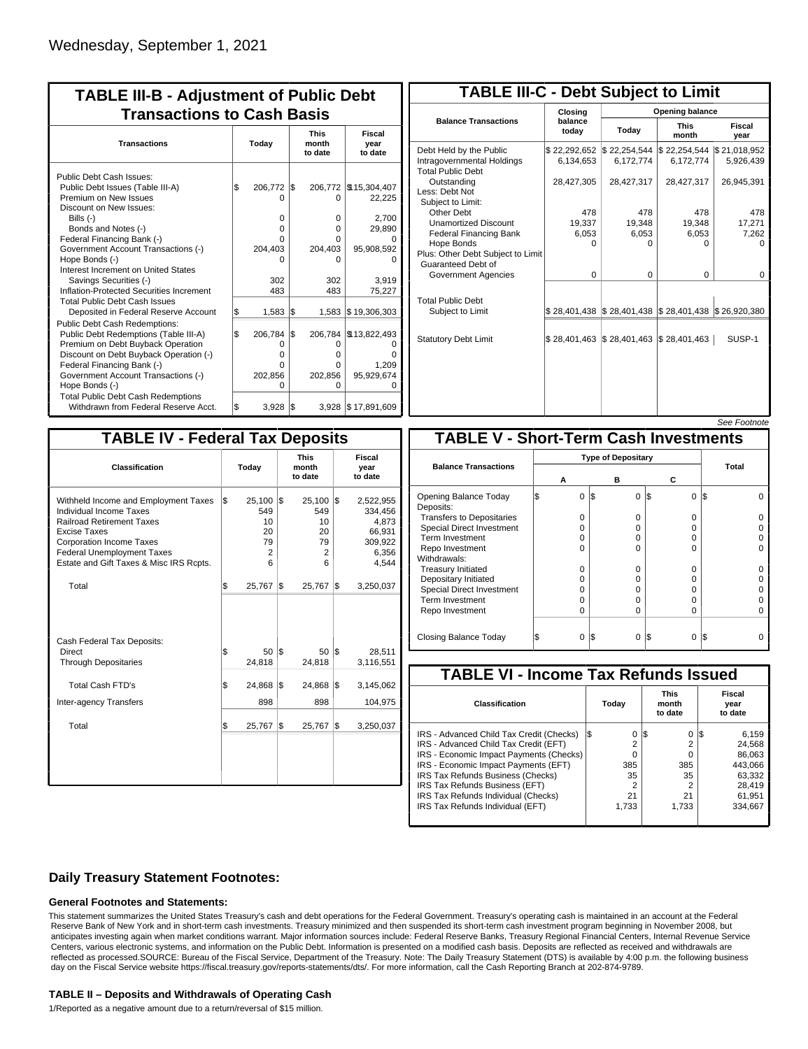| <b>TABLE III-B - Adjustment of Public Debt</b><br><b>Transactions to Cash Basis</b> |       |         |     |         |                    |                                 |                           |  |  |
|-------------------------------------------------------------------------------------|-------|---------|-----|---------|--------------------|---------------------------------|---------------------------|--|--|
| <b>Transactions</b>                                                                 | Today |         |     |         |                    | <b>This</b><br>month<br>to date | Fiscal<br>year<br>to date |  |  |
| Public Debt Cash Issues:                                                            |       |         |     |         |                    |                                 |                           |  |  |
| Public Debt Issues (Table III-A)                                                    | l\$   | 206,772 | l\$ | 206,772 | \$15,304,407       |                                 |                           |  |  |
| Premium on New Issues                                                               |       | n       |     | 0       | 22,225             |                                 |                           |  |  |
| Discount on New Issues:                                                             |       |         |     |         |                    |                                 |                           |  |  |
| Bills (-)                                                                           |       | 0       |     | 0       | 2,700              |                                 |                           |  |  |
| Bonds and Notes (-)                                                                 |       | 0       |     | 0       | 29,890             |                                 |                           |  |  |
| Federal Financing Bank (-)                                                          |       | o       |     | 0       |                    |                                 |                           |  |  |
| Government Account Transactions (-)                                                 |       | 204,403 |     | 204.403 | 95,908,592         |                                 |                           |  |  |
| Hope Bonds (-)                                                                      |       | n       |     | 0       |                    |                                 |                           |  |  |
| Interest Increment on United States                                                 |       |         |     |         |                    |                                 |                           |  |  |
| Savings Securities (-)                                                              |       | 302     |     | 302     | 3.919              |                                 |                           |  |  |
| Inflation-Protected Securities Increment                                            |       | 483     |     | 483     | 75,227             |                                 |                           |  |  |
| <b>Total Public Debt Cash Issues</b><br>Deposited in Federal Reserve Account        | \$    | 1,583   | 1\$ | 1,583   | \$19,306,303       |                                 |                           |  |  |
| Public Debt Cash Redemptions:                                                       |       |         |     |         |                    |                                 |                           |  |  |
| Public Debt Redemptions (Table III-A)                                               | \$    | 206,784 | l\$ | 206,784 | \$13,822,493       |                                 |                           |  |  |
| Premium on Debt Buyback Operation                                                   |       | Ω       |     | 0       |                    |                                 |                           |  |  |
| Discount on Debt Buyback Operation (-)                                              |       | 0       |     | 0       | n                  |                                 |                           |  |  |
| Federal Financing Bank (-)                                                          |       | n       |     | 0       | 1,209              |                                 |                           |  |  |
| Government Account Transactions (-)                                                 |       | 202,856 |     | 202,856 | 95,929,674         |                                 |                           |  |  |
| Hope Bonds (-)                                                                      |       | U       |     | O       | n                  |                                 |                           |  |  |
| <b>Total Public Debt Cash Redemptions</b>                                           |       |         |     |         |                    |                                 |                           |  |  |
| Withdrawn from Federal Reserve Acct.                                                | l\$   | 3,928   | l\$ |         | 3,928 \$17,891,609 |                                 |                           |  |  |

| <b>TABLE III-C - Debt Subject to Limit</b>                                        |                             |                                            |                           |                           |  |  |  |  |  |
|-----------------------------------------------------------------------------------|-----------------------------|--------------------------------------------|---------------------------|---------------------------|--|--|--|--|--|
|                                                                                   | Closing                     | <b>Opening balance</b>                     |                           |                           |  |  |  |  |  |
| <b>Balance Transactions</b>                                                       | today                       | balance<br>Today                           |                           | Fiscal<br>year            |  |  |  |  |  |
| Debt Held by the Public<br>Intragovernmental Holdings<br><b>Total Public Debt</b> | \$22,292,652<br>6,134,653   | \$22,254,544<br>6,172,774                  | \$22,254,544<br>6,172,774 | \$21,018,952<br>5,926,439 |  |  |  |  |  |
| Outstanding<br>Less: Debt Not<br>Subject to Limit:                                | 28,427,305                  | 28,427,317                                 | 28,427,317                | 26,945,391                |  |  |  |  |  |
| Other Debt                                                                        | 478                         | 478                                        | 478                       | 478                       |  |  |  |  |  |
| <b>Unamortized Discount</b>                                                       | 19,337                      | 19,348                                     | 19,348                    | 17,271                    |  |  |  |  |  |
| <b>Federal Financing Bank</b>                                                     | 6,053                       | 6,053                                      | 6,053                     | 7,262                     |  |  |  |  |  |
| Hope Bonds<br>Plus: Other Debt Subject to Limit<br>Guaranteed Debt of             | U                           | O                                          | O                         | n                         |  |  |  |  |  |
| Government Agencies                                                               | $\Omega$                    | $\Omega$                                   | $\Omega$                  | $\Omega$                  |  |  |  |  |  |
| <b>Total Public Debt</b><br>Subject to Limit                                      |                             | \$28,401,438   \$28,401,438   \$28,401,438 |                           | \$26,920,380              |  |  |  |  |  |
| <b>Statutory Debt Limit</b>                                                       | $$28,401,463$ $$28,401,463$ |                                            | $\$\,28,401,463$          | SUSP-1                    |  |  |  |  |  |
|                                                                                   |                             |                                            |                           |                           |  |  |  |  |  |

See Footnote

| <b>TABLE IV - Federal Tax Deposits</b> |                                 |     |                                                        |                           |                                                                      |  |  |  |  |
|----------------------------------------|---------------------------------|-----|--------------------------------------------------------|---------------------------|----------------------------------------------------------------------|--|--|--|--|
| Today                                  |                                 |     | <b>This</b><br>month<br>to date                        | Fiscal<br>year<br>to date |                                                                      |  |  |  |  |
| \$                                     | 549<br>10<br>20<br>79<br>2<br>6 |     | 25,100<br>549<br>10 <sup>1</sup><br>20<br>79<br>2<br>6 |                           | 2,522,955<br>334,456<br>4,873<br>66,931<br>309,922<br>6,356<br>4,544 |  |  |  |  |
| \$                                     | 25,767                          | l\$ | 25,767                                                 |                           | 3,250,037                                                            |  |  |  |  |
| \$                                     | 50<br>24,818                    |     | 50<br>24,818                                           |                           | 28.511<br>3,116,551                                                  |  |  |  |  |
| \$                                     | 24,868                          |     | 24,868                                                 |                           | 3,145,062                                                            |  |  |  |  |
|                                        | 898                             |     | 898                                                    |                           | 104,975                                                              |  |  |  |  |
| \$                                     | 25,767                          | S.  | 25,767                                                 |                           | 3,250,037                                                            |  |  |  |  |
|                                        |                                 |     | $25,100$ \$<br>l\$<br>1\$                              |                           | l\$<br>1\$<br>l\$<br>1\$<br>1\$                                      |  |  |  |  |

|                                              |   |                           |     |          |          |     | <i><b>JEE FUULIUIE</b></i> |  |  |
|----------------------------------------------|---|---------------------------|-----|----------|----------|-----|----------------------------|--|--|
| <b>TABLE V - Short-Term Cash Investments</b> |   |                           |     |          |          |     |                            |  |  |
|                                              |   | <b>Type of Depositary</b> |     |          |          |     |                            |  |  |
| <b>Balance Transactions</b>                  |   | А                         |     | в        | с        |     | <b>Total</b>               |  |  |
| Opening Balance Today<br>Deposits:           | S | $\Omega$                  | 1\$ | 0        | l\$<br>0 | IS. |                            |  |  |
| <b>Transfers to Depositaries</b>             |   | O                         |     | 0        | 0        |     |                            |  |  |
| <b>Special Direct Investment</b>             |   | O                         |     | 0        | 0        |     |                            |  |  |
| Term Investment                              |   | O                         |     | 0        | 0        |     |                            |  |  |
| Repo Investment                              |   | O                         |     | $\Omega$ | 0        |     |                            |  |  |
| Withdrawals:                                 |   |                           |     |          |          |     |                            |  |  |
| <b>Treasury Initiated</b>                    |   | 0                         |     | $\Omega$ | 0        |     |                            |  |  |
| Depositary Initiated                         |   | O                         |     | $\Omega$ | 0        |     |                            |  |  |
| <b>Special Direct Investment</b>             |   | O                         |     | n        | 0        |     |                            |  |  |
| <b>Term Investment</b>                       |   | O                         |     | $\Omega$ | 0        |     |                            |  |  |
| Repo Investment                              |   | 0                         |     | $\Omega$ | 0        |     |                            |  |  |
| Closing Balance Today                        |   | 0                         | I\$ | $\Omega$ | I\$<br>0 | IS  |                            |  |  |

| <b>TABLE VI - Income Tax Refunds Issued</b> |         |                                 |                           |  |  |  |  |  |  |  |
|---------------------------------------------|---------|---------------------------------|---------------------------|--|--|--|--|--|--|--|
| Classification                              | Today   | <b>This</b><br>month<br>to date | Fiscal<br>year<br>to date |  |  |  |  |  |  |  |
| IRS - Advanced Child Tax Credit (Checks)    | 0<br>13 | 1\$<br>0                        | 6,159<br>12               |  |  |  |  |  |  |  |
| IRS - Advanced Child Tax Credit (EFT)       | 2       | 2                               | 24,568                    |  |  |  |  |  |  |  |
| IRS - Economic Impact Payments (Checks)     | 0       | 0                               | 86,063                    |  |  |  |  |  |  |  |
| IRS - Economic Impact Payments (EFT)        | 385     | 385                             | 443.066                   |  |  |  |  |  |  |  |
| IRS Tax Refunds Business (Checks)           | 35      | 35                              | 63.332                    |  |  |  |  |  |  |  |
| IRS Tax Refunds Business (EFT)              | 2       |                                 | 28.419                    |  |  |  |  |  |  |  |
| IRS Tax Refunds Individual (Checks)         | 21      | 21                              | 61,951                    |  |  |  |  |  |  |  |
| IRS Tax Refunds Individual (EFT)            | 1.733   | 1.733                           | 334.667                   |  |  |  |  |  |  |  |

### **Daily Treasury Statement Footnotes:**

#### **General Footnotes and Statements:**

This statement summarizes the United States Treasury's cash and debt operations for the Federal Government. Treasury's operating cash is maintained in an account at the Federal Reserve Bank of New York and in short-term cash investments. Treasury minimized and then suspended its short-term cash investment program beginning in November 2008, but anticipates investing again when market conditions warrant. Major information sources include: Federal Reserve Banks, Treasury Regional Financial Centers, Internal Revenue Service Centers, various electronic systems, and information on the Public Debt. Information is presented on a modified cash basis. Deposits are reflected as received and withdrawals are reflected as processed.SOURCE: Bureau of the Fiscal Service, Department of the Treasury. Note: The Daily Treasury Statement (DTS) is available by 4:00 p.m. the following business day on the Fiscal Service website https://fiscal.treasury.gov/reports-statements/dts/. For more information, call the Cash Reporting Branch at 202-874-9789.

#### **TABLE II – Deposits and Withdrawals of Operating Cash**

1/Reported as a negative amount due to a return/reversal of \$15 million.